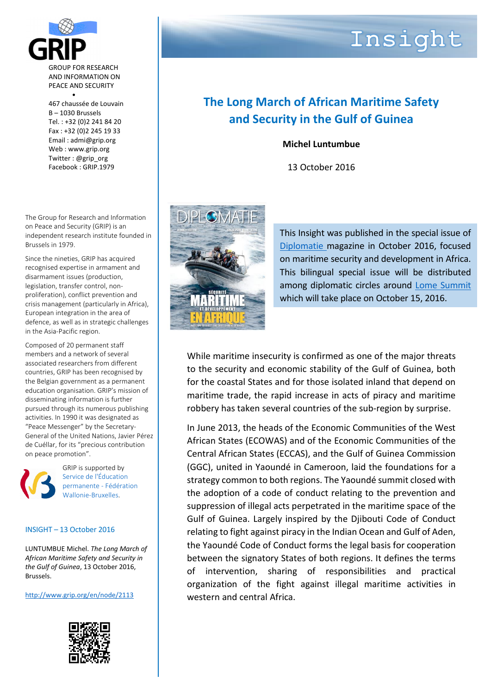

ROUP FOR RESEARCH AND INFORMATION ON PEACE AND SECURITY •

467 chaussée de Louvain B – 1030 Brussels Tel. : +32 (0)2 241 84 20 Fax : +32 (0)2 245 19 33 Email : admi@grip.org Web : www.grip.org Twitter : @grip\_org Facebook : GRIP.1979

The Group for Research and Information on Peace and Security (GRIP) is an independent research institute founded in Brussels in 1979.

Since the nineties, GRIP has acquired recognised expertise in armament and disarmament issues (production, legislation, transfer control, nonproliferation), conflict prevention and crisis management (particularly in Africa), European integration in the area of defence, as well as in strategic challenges in the Asia-Pacific region.

Composed of 20 permanent staff members and a network of several associated researchers from different countries, GRIP has been recognised by the Belgian government as a permanent education organisation. GRIP's mission of disseminating information is further pursued through its numerous publishing activities. In 1990 it was designated as "Peace Messenger" by the Secretary-General of the United Nations, Javier Pérez de Cuéllar, for its "precious contribution on peace promotion".



GRIP is supported by [Service de l'Éducation](http://www.educationpermanente.cfwb.be/)  [permanente -](http://www.educationpermanente.cfwb.be/) Fédération [Wallonie-Bruxelles.](http://www.educationpermanente.cfwb.be/)

#### INSIGHT – 13 October 2016

LUNTUMBUE Michel. *The Long March of African Maritime Safety and Security in the Gulf of Guinea*, 13 October 2016, Brussels.

<http://www.grip.org/en/node/2113>



Insight

# **The Long March of African Maritime Safety and Security in the Gulf of Guinea**

### **Michel Luntumbue**

13 October 2016



This Insight was published in the special issue of [Diplomatie](http://www.geostrategique.com/) magazine in October 2016, focused on maritime security and development in Africa. This bilingual special issue will be distributed among diplomatic circles around [Lome Summit](http://www.sommetdelome.org/) which will take place on October 15, 2016.

While maritime insecurity is confirmed as one of the major threats to the security and economic stability of the Gulf of Guinea, both for the coastal States and for those isolated inland that depend on maritime trade, the rapid increase in acts of piracy and maritime robbery has taken several countries of the sub-region by surprise.

In June 2013, the heads of the Economic Communities of the West African States (ECOWAS) and of the Economic Communities of the Central African States (ECCAS), and the Gulf of Guinea Commission (GGC), united in Yaoundé in Cameroon, laid the foundations for a strategy common to both regions. The Yaoundé summit closed with the adoption of a code of conduct relating to the prevention and suppression of illegal acts perpetrated in the maritime space of the Gulf of Guinea. Largely inspired by the Djibouti Code of Conduct relating to fight against piracy in the Indian Ocean and Gulf of Aden, the Yaoundé Code of Conduct forms the legal basis for cooperation between the signatory States of both regions. It defines the terms of intervention, sharing of responsibilities and practical organization of the fight against illegal maritime activities in western and central Africa.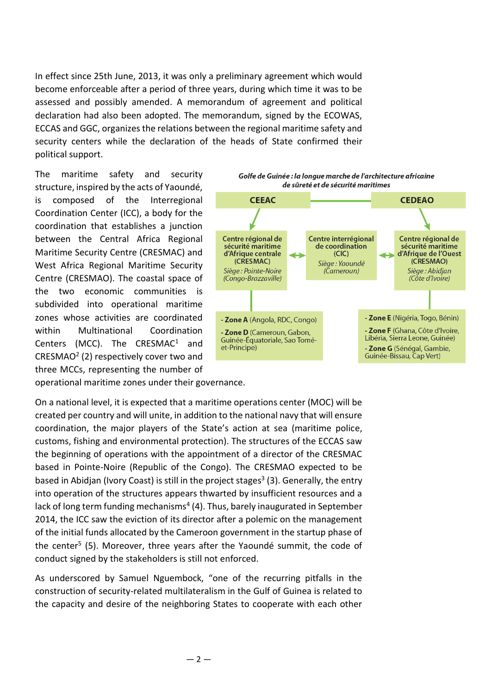In effect since 25th June, 2013, it was only a preliminary agreement which would become enforceable after a period of three years, during which time it was to be assessed and possibly amended. A memorandum of agreement and political declaration had also been adopted. The memorandum, signed by the ECOWAS, ECCAS and GGC, organizes the relations between the regional maritime safety and security centers while the declaration of the heads of State confirmed their political support.

The maritime safety and security structure, inspired by the acts of Yaoundé, is composed of the Interregional Coordination Center (ICC), a body for the coordination that establishes a junction between the Central Africa Regional Maritime Security Centre (CRESMAC) and West Africa Regional Maritime Security Centre (CRESMAO). The coastal space of the two economic communities is subdivided into operational maritime zones whose activities are coordinated within Multinational Coordination Centers (MCC). The  $CRESMAC<sup>1</sup>$  and CRESMAO<sup>2</sup> (2) respectively cover two and three MCCs, representing the number of



operational maritime zones under their governance.

On a national level, it is expected that a maritime operations center (MOC) will be created per country and will unite, in addition to the national navy that will ensure coordination, the major players of the State's action at sea (maritime police, customs, fishing and environmental protection). The structures of the ECCAS saw the beginning of operations with the appointment of a director of the CRESMAC based in Pointe-Noire (Republic of the Congo). The CRESMAO expected to be based in Abidjan (Ivory Coast) is still in the project stages<sup>3</sup> (3). Generally, the entry into operation of the structures appears thwarted by insufficient resources and a lack of long term funding mechanisms<sup>4</sup> (4). Thus, barely inaugurated in September 2014, the ICC saw the eviction of its director after a polemic on the management of the initial funds allocated by the Cameroon government in the startup phase of the center<sup>5</sup> (5). Moreover, three years after the Yaoundé summit, the code of conduct signed by the stakeholders is still not enforced.

As underscored by Samuel Nguembock, "one of the recurring pitfalls in the construction of security-related multilateralism in the Gulf of Guinea is related to the capacity and desire of the neighboring States to cooperate with each other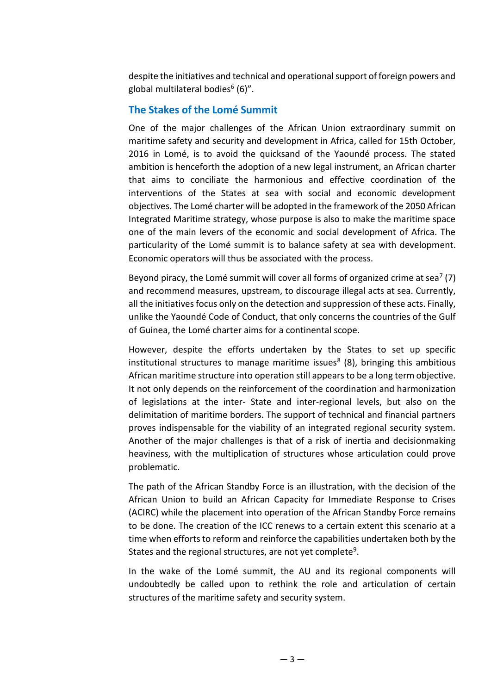despite the initiatives and technical and operational support of foreign powers and global multilateral bodies<sup>6</sup> (6)".

## **The Stakes of the Lomé Summit**

One of the major challenges of the African Union extraordinary summit on maritime safety and security and development in Africa, called for 15th October, 2016 in Lomé, is to avoid the quicksand of the Yaoundé process. The stated ambition is henceforth the adoption of a new legal instrument, an African charter that aims to conciliate the harmonious and effective coordination of the interventions of the States at sea with social and economic development objectives. The Lomé charter will be adopted in the framework of the 2050 African Integrated Maritime strategy, whose purpose is also to make the maritime space one of the main levers of the economic and social development of Africa. The particularity of the Lomé summit is to balance safety at sea with development. Economic operators will thus be associated with the process.

Beyond piracy, the Lomé summit will cover all forms of organized crime at sea<sup>7</sup> (7) and recommend measures, upstream, to discourage illegal acts at sea. Currently, all the initiatives focus only on the detection and suppression of these acts. Finally, unlike the Yaoundé Code of Conduct, that only concerns the countries of the Gulf of Guinea, the Lomé charter aims for a continental scope.

However, despite the efforts undertaken by the States to set up specific institutional structures to manage maritime issues<sup>8</sup> (8), bringing this ambitious African maritime structure into operation still appears to be a long term objective. It not only depends on the reinforcement of the coordination and harmonization of legislations at the inter- State and inter-regional levels, but also on the delimitation of maritime borders. The support of technical and financial partners proves indispensable for the viability of an integrated regional security system. Another of the major challenges is that of a risk of inertia and decisionmaking heaviness, with the multiplication of structures whose articulation could prove problematic.

The path of the African Standby Force is an illustration, with the decision of the African Union to build an African Capacity for Immediate Response to Crises (ACIRC) while the placement into operation of the African Standby Force remains to be done. The creation of the ICC renews to a certain extent this scenario at a time when efforts to reform and reinforce the capabilities undertaken both by the States and the regional structures, are not yet complete<sup>9</sup>.

In the wake of the Lomé summit, the AU and its regional components will undoubtedly be called upon to rethink the role and articulation of certain structures of the maritime safety and security system.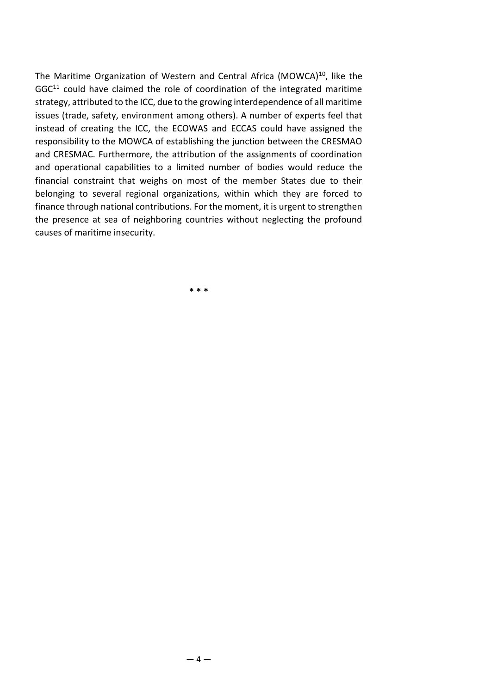The Maritime Organization of Western and Central Africa (MOWCA)<sup>10</sup>, like the  $GGC<sup>11</sup>$  could have claimed the role of coordination of the integrated maritime strategy, attributed to the ICC, due to the growing interdependence of all maritime issues (trade, safety, environment among others). A number of experts feel that instead of creating the ICC, the ECOWAS and ECCAS could have assigned the responsibility to the MOWCA of establishing the junction between the CRESMAO and CRESMAC. Furthermore, the attribution of the assignments of coordination and operational capabilities to a limited number of bodies would reduce the financial constraint that weighs on most of the member States due to their belonging to several regional organizations, within which they are forced to finance through national contributions. For the moment, it is urgent to strengthen the presence at sea of neighboring countries without neglecting the profound causes of maritime insecurity.

**\* \* \***